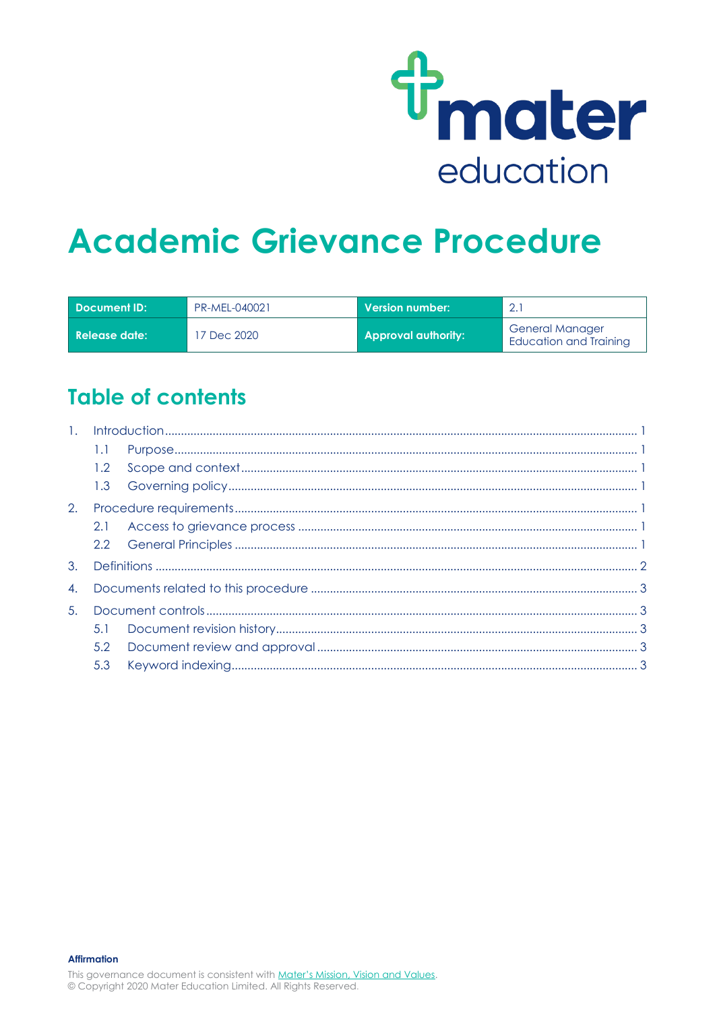

# **Academic Grievance Procedure**

| Document ID:  | PR-MEL-040021 | Version number: \          | $\cap$                                           |
|---------------|---------------|----------------------------|--------------------------------------------------|
| Release date: | 17 Dec 2020   | <b>Approval authority:</b> | <b>General Manager</b><br>Education and Training |

### **Table of contents**

| 1. |     |  |  |
|----|-----|--|--|
|    | 1.1 |  |  |
|    | 1.2 |  |  |
|    |     |  |  |
| 2. |     |  |  |
|    | 2.1 |  |  |
|    |     |  |  |
| 3. |     |  |  |
| 4. |     |  |  |
| 5. |     |  |  |
|    | 5.1 |  |  |
|    | 5.2 |  |  |
|    | 5.3 |  |  |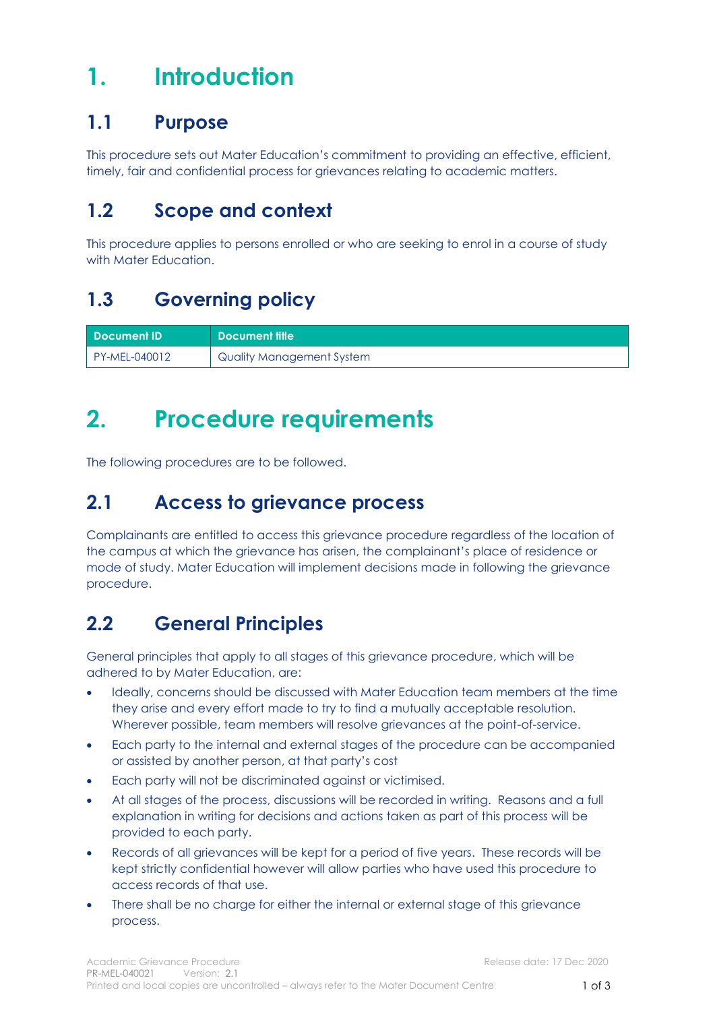# <span id="page-1-0"></span>**1. Introduction**

### <span id="page-1-1"></span>**1.1 Purpose**

This procedure sets out Mater Education's commitment to providing an effective, efficient, timely, fair and confidential process for grievances relating to academic matters.

### <span id="page-1-2"></span>**1.2 Scope and context**

This procedure applies to persons enrolled or who are seeking to enrol in a course of study with Mater Education.

### <span id="page-1-3"></span>**1.3 Governing policy**

| <b>Document ID</b> | Document title            |
|--------------------|---------------------------|
| PY-MEL-040012      | Quality Management System |

# <span id="page-1-4"></span>**2. Procedure requirements**

The following procedures are to be followed.

### <span id="page-1-5"></span>**2.1 Access to grievance process**

Complainants are entitled to access this grievance procedure regardless of the location of the campus at which the grievance has arisen, the complainant's place of residence or mode of study. Mater Education will implement decisions made in following the grievance procedure.

### <span id="page-1-6"></span>**2.2 General Principles**

General principles that apply to all stages of this grievance procedure, which will be adhered to by Mater Education, are:

- Ideally, concerns should be discussed with Mater Education team members at the time they arise and every effort made to try to find a mutually acceptable resolution. Wherever possible, team members will resolve grievances at the point-of-service.
- Each party to the internal and external stages of the procedure can be accompanied or assisted by another person, at that party's cost
- Each party will not be discriminated against or victimised.
- At all stages of the process, discussions will be recorded in writing. Reasons and a full explanation in writing for decisions and actions taken as part of this process will be provided to each party.
- Records of all grievances will be kept for a period of five years. These records will be kept strictly confidential however will allow parties who have used this procedure to access records of that use.
- There shall be no charge for either the internal or external stage of this grievance process.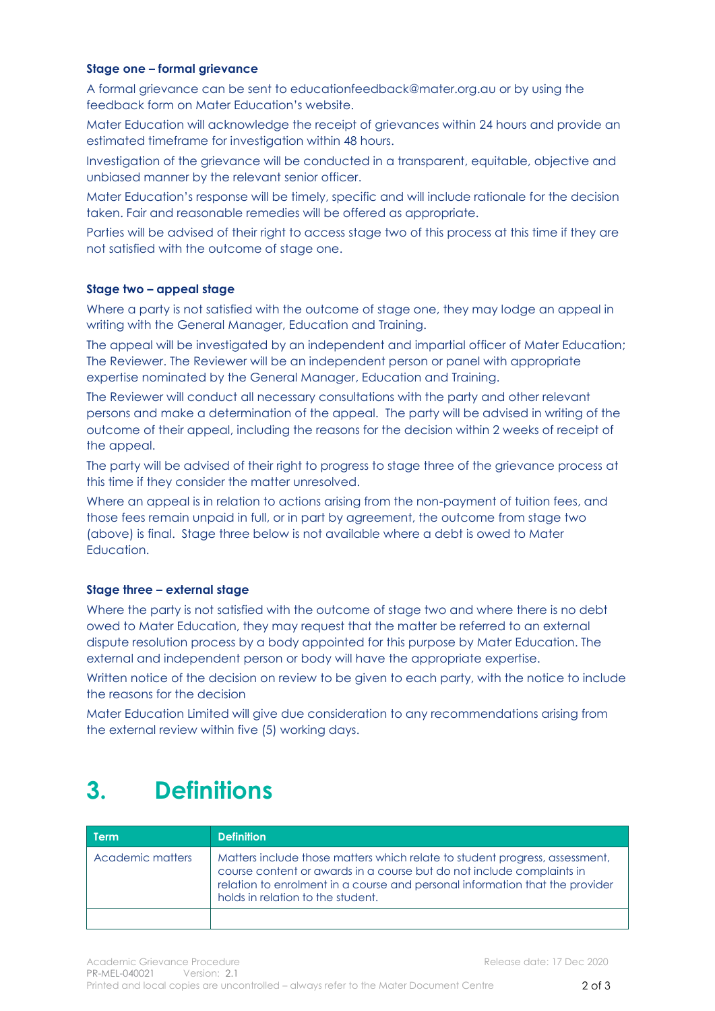#### **Stage one – formal grievance**

A formal grievance can be sent to educationfeedback@mater.org.au or by using the feedback form on Mater Education's website.

Mater Education will acknowledge the receipt of grievances within 24 hours and provide an estimated timeframe for investigation within 48 hours.

Investigation of the grievance will be conducted in a transparent, equitable, objective and unbiased manner by the relevant senior officer.

Mater Education's response will be timely, specific and will include rationale for the decision taken. Fair and reasonable remedies will be offered as appropriate.

Parties will be advised of their right to access stage two of this process at this time if they are not satisfied with the outcome of stage one.

#### **Stage two – appeal stage**

Where a party is not satisfied with the outcome of stage one, they may lodge an appeal in writing with the General Manager, Education and Training.

The appeal will be investigated by an independent and impartial officer of Mater Education; The Reviewer. The Reviewer will be an independent person or panel with appropriate expertise nominated by the General Manager, Education and Training.

The Reviewer will conduct all necessary consultations with the party and other relevant persons and make a determination of the appeal. The party will be advised in writing of the outcome of their appeal, including the reasons for the decision within 2 weeks of receipt of the appeal.

The party will be advised of their right to progress to stage three of the grievance process at this time if they consider the matter unresolved.

Where an appeal is in relation to actions arising from the non-payment of tuition fees, and those fees remain unpaid in full, or in part by agreement, the outcome from stage two (above) is final. Stage three below is not available where a debt is owed to Mater **Education** 

#### **Stage three – external stage**

Where the party is not satisfied with the outcome of stage two and where there is no debt owed to Mater Education, they may request that the matter be referred to an external dispute resolution process by a body appointed for this purpose by Mater Education. The external and independent person or body will have the appropriate expertise.

Written notice of the decision on review to be given to each party, with the notice to include the reasons for the decision

<span id="page-2-0"></span>Mater Education Limited will give due consideration to any recommendations arising from the external review within five (5) working days.

### **3. Definitions**

| l Term           | <b>Definition</b>                                                                                                                                                                                                                                                         |
|------------------|---------------------------------------------------------------------------------------------------------------------------------------------------------------------------------------------------------------------------------------------------------------------------|
| Academic matters | Matters include those matters which relate to student progress, assessment,<br>course content or awards in a course but do not include complaints in<br>relation to enrolment in a course and personal information that the provider<br>holds in relation to the student. |
|                  |                                                                                                                                                                                                                                                                           |